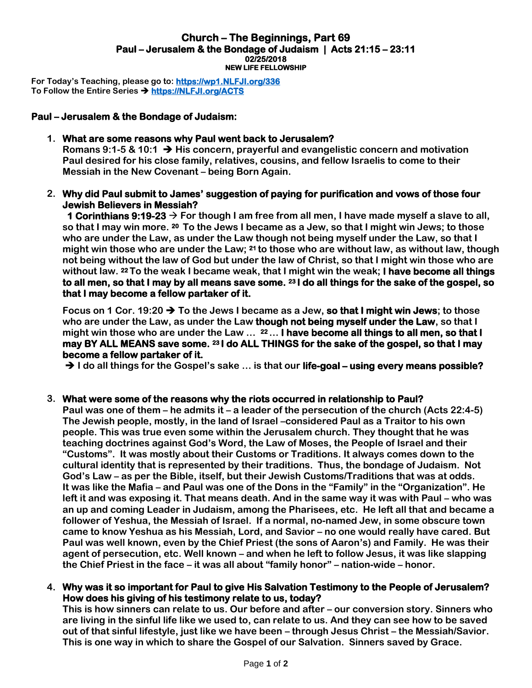#### **Church – The Beginnings, Part 69 Paul – Jerusalem & the Bondage of Judaism | Acts 21:15 – 23:11 02/25/2018 NEW LIFE FELLOWSHIP**

**For Today's Teaching, please go to: [https://wp1.NLFJI.org/336](https://wp1.nlfji.org/336)  To Follow the Entire Series [https://NLFJI.org/ACTS](https://nlfji.org/ACTS)** 

# **Paul – Jerusalem & the Bondage of Judaism:**

### **1. What are some reasons why Paul went back to Jerusalem?**

**Romans 9:1-5 & 10:1 His concern, prayerful and evangelistic concern and motivation Paul desired for his close family, relatives, cousins, and fellow Israelis to come to their Messiah in the New Covenant – being Born Again.** 

**2. Why did Paul submit to James' suggestion of paying for purification and vows of those four Jewish Believers in Messiah?**

 **1 Corinthians 9:19-23 For though I am free from all men, I have made myself a slave to all, so that I may win more. <sup>20</sup>To the Jews I became as a Jew, so that I might win Jews; to those who are under the Law, as under the Law though not being myself under the Law, so that I might win those who are under the Law; <sup>21</sup>to those who are without law, as without law, though not being without the law of God but under the law of Christ, so that I might win those who are without law. <sup>22</sup>To the weak I became weak, that I might win the weak; I have become all things to all men, so that I may by all means save some. <sup>23</sup>I do all things for the sake of the gospel, so that I may become a fellow partaker of it.** 

Focus on 1 Cor. 19:20  $\rightarrow$  To the Jews I became as a Jew, so that I might win Jews; to those **who are under the Law, as under the Law though not being myself under the Law, so that I might win those who are under the Law … <sup>22</sup>… I have become all things to all men, so that I may BY ALL MEANS save some. 23 I do ALL THINGS for the sake of the gospel, so that I may become a fellow partaker of it.** 

**→ I** do all things for the Gospel's sake ... is that our **life-goal – using every means possible?** 

### **3. What were some of the reasons why the riots occurred in relationship to Paul?**

**Paul was one of them – he admits it – a leader of the persecution of the church (Acts 22:4-5) The Jewish people, mostly, in the land of Israel –considered Paul as a Traitor to his own people. This was true even some within the Jerusalem church. They thought that he was teaching doctrines against God's Word, the Law of Moses, the People of Israel and their "Customs". It was mostly about their Customs or Traditions. It always comes down to the cultural identity that is represented by their traditions. Thus, the bondage of Judaism. Not God's Law – as per the Bible, itself, but their Jewish Customs/Traditions that was at odds. It was like the Mafia – and Paul was one of the Dons in the "Family" in the "Organization". He left it and was exposing it. That means death. And in the same way it was with Paul – who was an up and coming Leader in Judaism, among the Pharisees, etc. He left all that and became a follower of Yeshua, the Messiah of Israel. If a normal, no-named Jew, in some obscure town came to know Yeshua as his Messiah, Lord, and Savior – no one would really have cared. But Paul was well known, even by the Chief Priest (the sons of Aaron's) and Family. He was their agent of persecution, etc. Well known – and when he left to follow Jesus, it was like slapping the Chief Priest in the face – it was all about "family honor" – nation-wide – honor.** 

### **4. Why was it so important for Paul to give His Salvation Testimony to the People of Jerusalem? How does his giving of his testimony relate to us, today?**

**This is how sinners can relate to us. Our before and after – our conversion story. Sinners who are living in the sinful life like we used to, can relate to us. And they can see how to be saved out of that sinful lifestyle, just like we have been – through Jesus Christ – the Messiah/Savior. This is one way in which to share the Gospel of our Salvation. Sinners saved by Grace.**